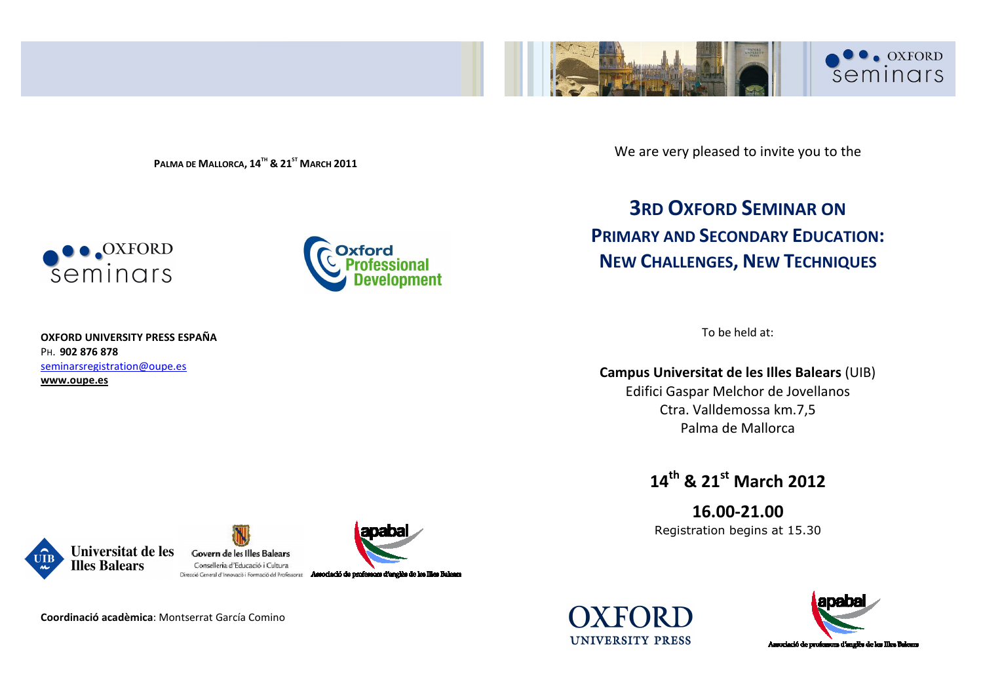

**PALMA DE MALLORCA, <sup>14</sup>TH & <sup>21</sup>ST <sup>M</sup>ARCH <sup>2011</sup>**





**OXFORD UNIVERSITY PRESS ESPAÑA** PH. **902 876 878** seminarsregistration@oupe.es**www.oupe.es** 

### We are very pleased to invite you to the

# **3RD OXFORD SEMINAR ON PRIMARY AND SECONDARY EDUCATION:NEW CHALLENGES, NEW TECHNIQUES**

To be held at:

**Campus Universitat de les Illes Balears** (UIB)

Edifici Gaspar Melchor de Jovellanos Ctra. Valldemossa km.7,5 Palma de Mallorca

**14th & 21st March 2012**

**16.00-21.00** Registration begins at 15.30







**UNIVERSITY PRESS** 



**Coordinació acadèmica**: Montserrat García Comino